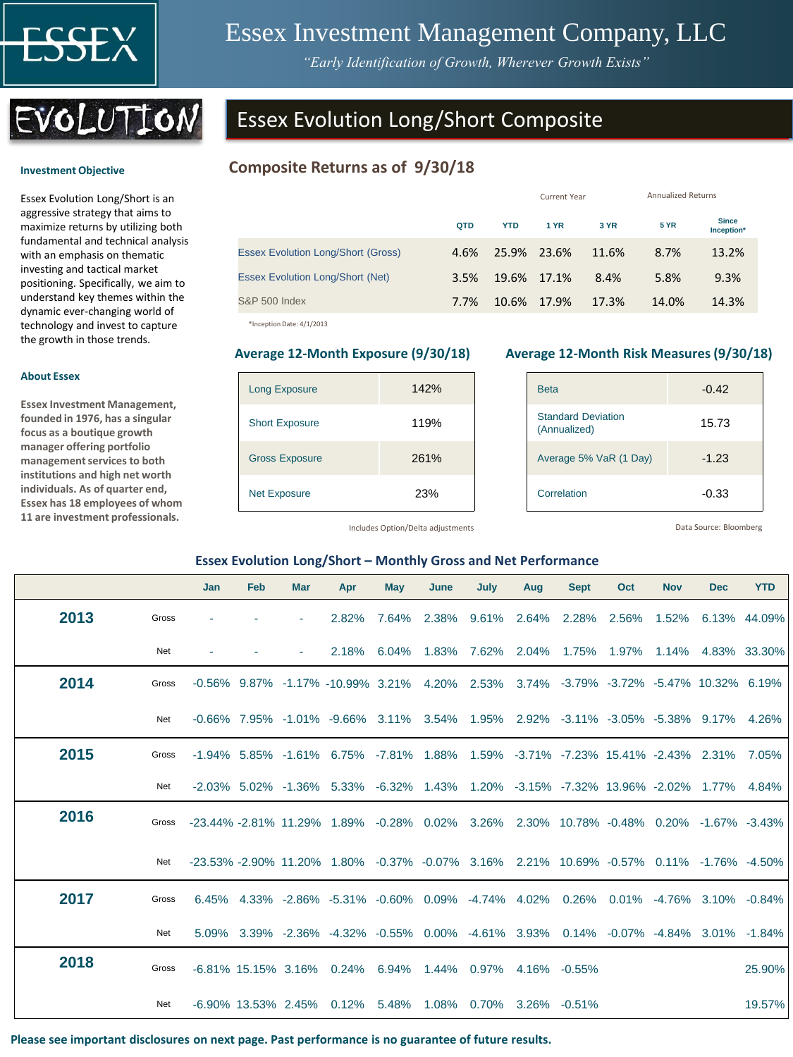

**Investment Objective** 

**About Essex**

**Essex Investment Management, founded in 1976, has a singular focus as a boutique growth manager offering portfolio management services to both institutions and high net worth individuals. As of quarter end, Essex has 18 employees of whom 11 are investment professionals.** 

# Essex Investment Management Company, LLC

*"Early Identification of Growth, Wherever Growth Exists"*



Essex Evolution Long/Short is an aggressive strategy that aims to maximize returns by utilizing both fundamental and technical analysis with an emphasis on thematic investing and tactical market positioning. Specifically, we aim to understand key themes within the dynamic ever-changing world of technology and invest to capture the growth in those trends.

# Essex Evolution Long/Short Composite

# **Composite Returns as of 9/30/18**

|      |            |             |                            | <b>Annualized Returns</b> |                            |  |  |
|------|------------|-------------|----------------------------|---------------------------|----------------------------|--|--|
| QTD  | <b>YTD</b> | <b>1 YR</b> | 3 YR                       | <b>5 YR</b>               | <b>Since</b><br>Inception* |  |  |
| 4.6% |            |             | 11.6%                      | 8.7%                      | 13.2%                      |  |  |
| 3.5% |            |             | 8.4%                       | 5.8%                      | 9.3%                       |  |  |
| 7.7% | 10.6%      | 17.9%       | 17.3%                      | 14.0%                     | 14.3%                      |  |  |
|      |            |             | 25.9% 23.6%<br>19.6% 17.1% | Current Year              |                            |  |  |

\*Inception Date: 4/1/2013

| <b>Long Exposure</b>  | 142% |
|-----------------------|------|
| <b>Short Exposure</b> | 119% |
| <b>Gross Exposure</b> | 261% |
| <b>Net Exposure</b>   | 23%  |

#### **Average 12-Month Exposure (9/30/18) Average 12-Month Risk Measures (9/30/18)**

| <b>Beta</b>                               | $-0.42$ |
|-------------------------------------------|---------|
| <b>Standard Deviation</b><br>(Annualized) | 15.73   |
| Average 5% VaR (1 Day)                    | $-1.23$ |
| Correlation                               | $-0.33$ |

Includes Option/Delta adjustments

Data Source: Bloomberg

#### **Essex Evolution Long/Short – Monthly Gross and Net Performance**

|      |       | Jan                                                                                     | Feb | <b>Mar</b> | Apr                                                                                                   | <b>May</b> | June | July                          | Aug | <b>Sept</b> | Oct | <b>Nov</b>  | <b>Dec</b>                   | <b>YTD</b>   |
|------|-------|-----------------------------------------------------------------------------------------|-----|------------|-------------------------------------------------------------------------------------------------------|------------|------|-------------------------------|-----|-------------|-----|-------------|------------------------------|--------------|
| 2013 | Gross |                                                                                         |     |            | 2.82%                                                                                                 | 7.64%      |      | 2.38% 9.61% 2.64% 2.28% 2.56% |     |             |     |             | 1.52% 6.13% 44.09%           |              |
|      | Net   |                                                                                         |     |            | 2.18%                                                                                                 | 6.04%      |      | 1.83% 7.62%                   |     | 2.04% 1.75% |     | 1.97% 1.14% |                              | 4.83% 33.30% |
| 2014 | Gross |                                                                                         |     |            | -0.56% 9.87% -1.17% -10.99% 3.21% 4.20% 2.53% 3.74% -3.79% -3.72% -5.47% 10.32% 6.19%                 |            |      |                               |     |             |     |             |                              |              |
|      | Net   |                                                                                         |     |            | $-0.66\%$ 7.95% $-1.01\%$ $-9.66\%$ 3.11% 3.54% 1.95% 2.92% $-3.11\%$ $-3.05\%$ $-5.38\%$ 9.17% 4.26% |            |      |                               |     |             |     |             |                              |              |
| 2015 | Gross |                                                                                         |     |            | -1.94% 5.85% -1.61% 6.75% -7.81% 1.88% 1.59% -3.71% -7.23% 15.41% -2.43% 2.31% 7.05%                  |            |      |                               |     |             |     |             |                              |              |
|      | Net   |                                                                                         |     |            | -2.03% 5.02% -1.36% 5.33% -6.32% 1.43% 1.20% -3.15% -7.32% 13.96% -2.02% 1.77% 4.84%                  |            |      |                               |     |             |     |             |                              |              |
| 2016 | Gross | -23.44% -2.81% 11.29% 1.89% -0.28% 0.02% 3.26% 2.30% 10.78% -0.48% 0.20% -1.67% -3.43%  |     |            |                                                                                                       |            |      |                               |     |             |     |             |                              |              |
|      | Net   | -23.53% -2.90% 11.20% 1.80% -0.37% -0.07% 3.16% 2.21% 10.69% -0.57% 0.11% -1.76% -4.50% |     |            |                                                                                                       |            |      |                               |     |             |     |             |                              |              |
| 2017 | Gross |                                                                                         |     |            | 6.45% 4.33% -2.86% -5.31% -0.60% 0.09% -4.74% 4.02% 0.26%                                             |            |      |                               |     |             |     |             | $0.01\%$ -4.76% 3.10% -0.84% |              |
|      | Net   |                                                                                         |     |            | 5.09% 3.39% -2.36% -4.32% -0.55% 0.00% -4.61% 3.93% 0.14% -0.07% -4.84% 3.01% -1.84%                  |            |      |                               |     |             |     |             |                              |              |
| 2018 | Gross |                                                                                         |     |            | -6.81% 15.15% 3.16% 0.24% 6.94% 1.44% 0.97% 4.16% -0.55%                                              |            |      |                               |     |             |     |             |                              | 25.90%       |
|      | Net   |                                                                                         |     |            | -6.90% 13.53% 2.45% 0.12% 5.48% 1.08% 0.70% 3.26% -0.51%                                              |            |      |                               |     |             |     |             |                              | 19.57%       |

**Please see important disclosures on next page. Past performance is no guarantee of future results.**